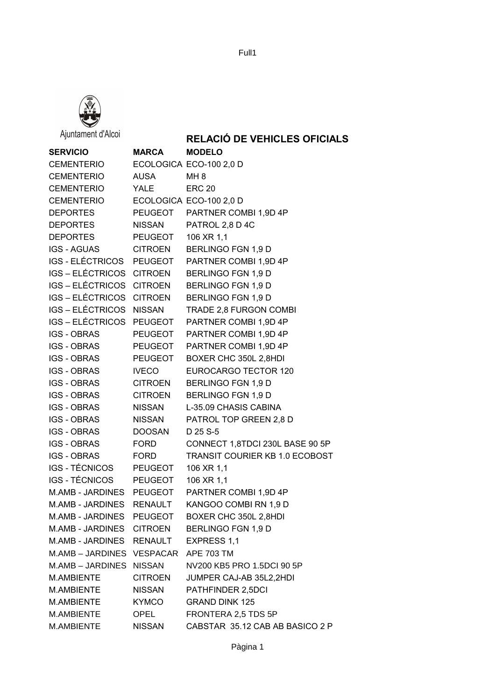



Ajuntament d'Alcoi

## **RELACIÓ DE VEHICLES OFICIALS**

| <b>SERVICIO</b>           | <b>MARCA</b>   | <b>MODELO</b>                   |
|---------------------------|----------------|---------------------------------|
| CEMENTERIO                |                | ECOLOGICA ECO-100 2,0 D         |
| <b>CEMENTERIO</b>         | AUSA           | MH <sub>8</sub>                 |
| CEMENTERIO                | YALE           | <b>ERC 20</b>                   |
| <b>CEMENTERIO</b>         |                | ECOLOGICA ECO-100 2,0 D         |
| DEPORTES                  |                | PEUGEOT PARTNER COMBI 1,9D 4P   |
| <b>DEPORTES</b>           | NISSAN         | PATROL 2,8 D 4C                 |
| <b>DEPORTES</b>           | PEUGEOT        | 106 XR 1,1                      |
| <b>IGS - AGUAS</b>        | <b>CITROEN</b> | BERLINGO FGN 1,9 D              |
| IGS-ELÉCTRICOS PEUGEOT    |                | PARTNER COMBI 1,9D 4P           |
| IGS - ELÉCTRICOS CITROEN  |                | BERLINGO FGN 1,9 D              |
| IGS - ELÉCTRICOS CITROEN  |                | BERLINGO FGN 1,9 D              |
| IGS-ELÉCTRICOS CITROEN    |                | BERLINGO FGN 1,9 D              |
| IGS - ELÉCTRICOS NISSAN   |                | TRADE 2,8 FURGON COMBI          |
| IGS-ELÉCTRICOS PEUGEOT    |                | PARTNER COMBI 1,9D 4P           |
| <b>IGS - OBRAS</b>        | PEUGEOT        | PARTNER COMBI 1,9D 4P           |
| <b>IGS - OBRAS</b>        | PEUGEOT        | PARTNER COMBI 1,9D 4P           |
| <b>IGS - OBRAS</b>        | PEUGEOT        | BOXER CHC 350L 2,8HDI           |
| <b>IGS - OBRAS</b>        | <b>IVECO</b>   | <b>EUROCARGO TECTOR 120</b>     |
| <b>IGS - OBRAS</b>        | <b>CITROEN</b> | BERLINGO FGN 1,9 D              |
| <b>IGS - OBRAS</b>        | <b>CITROEN</b> | BERLINGO FGN 1,9 D              |
| IGS - OBRAS               | <b>NISSAN</b>  | L-35.09 CHASIS CABINA           |
| <b>IGS - OBRAS</b>        | <b>NISSAN</b>  | PATROL TOP GREEN 2,8 D          |
| IGS - OBRAS               | DOOSAN         | D 25 S-5                        |
| IGS - OBRAS               | FORD           | CONNECT 1,8TDCI 230L BASE 90 5P |
| <b>IGS - OBRAS</b>        | <b>FORD</b>    | TRANSIT COURIER KB 1.0 ECOBOST  |
| IGS-TÉCNICOS PEUGEOT      |                | 106 XR 1,1                      |
| IGS - TÉCNICOS            | PEUGEOT        | 106 XR 1,1                      |
| M.AMB - JARDINES PEUGEOT  |                | PARTNER COMBI 1,9D 4P           |
| M.AMB - JARDINES RENAULT  |                | KANGOO COMBI RN 1,9 D           |
| M.AMB - JARDINES          | <b>PEUGEOT</b> | BOXER CHC 350L 2,8HDI           |
| M.AMB - JARDINES CITROEN  |                | BERLINGO FGN 1,9 D              |
| M.AMB - JARDINES RENAULT  |                | EXPRESS 1,1                     |
| M.AMB - JARDINES VESPACAR |                | <b>APE 703 TM</b>               |
| M.AMB-JARDINES NISSAN     |                | NV200 KB5 PRO 1.5DCI 90 5P      |
| M.AMBIENTE                | <b>CITROEN</b> | JUMPER CAJ-AB 35L2,2HDI         |
| M.AMBIENTE                | <b>NISSAN</b>  | PATHFINDER 2,5DCI               |
| M.AMBIENTE                | <b>KYMCO</b>   | <b>GRAND DINK 125</b>           |
| M.AMBIENTE                | <b>OPEL</b>    | FRONTERA 2,5 TDS 5P             |
| M.AMBIENTE                | <b>NISSAN</b>  | CABSTAR 35.12 CAB AB BASICO 2 P |